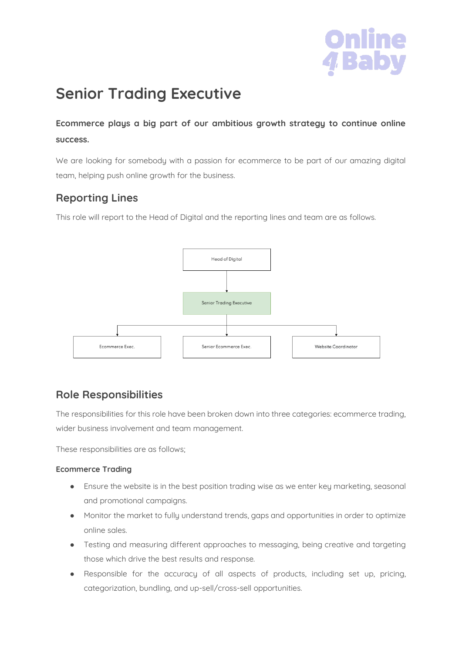

# **Senior Trading Executive**

**Ecommerce plays a big part of our ambitious growth strategy to continue online success.**

We are looking for somebody with a passion for ecommerce to be part of our amazing digital team, helping push online growth for the business.

# **Reporting Lines**

This role will report to the Head of Digital and the reporting lines and team are as follows.



# **Role Responsibilities**

The responsibilities for this role have been broken down into three categories: ecommerce trading, wider business involvement and team management.

These responsibilities are as follows;

## **Ecommerce Trading**

- Ensure the website is in the best position trading wise as we enter key marketing, seasonal and promotional campaigns.
- Monitor the market to fully understand trends, gaps and opportunities in order to optimize online sales.
- Testing and measuring different approaches to messaging, being creative and targeting those which drive the best results and response.
- Responsible for the accuracy of all aspects of products, including set up, pricing, categorization, bundling, and up-sell/cross-sell opportunities.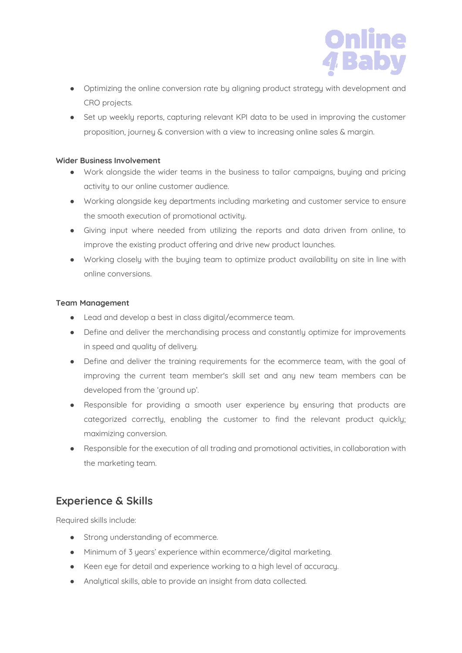

- Optimizing the online conversion rate by aligning product strategy with development and CRO projects.
- Set up weekly reports, capturing relevant KPI data to be used in improving the customer proposition, journey & conversion with a view to increasing online sales & margin.

### **Wider Business Involvement**

- Work alongside the wider teams in the business to tailor campaigns, buying and pricing activity to our online customer audience.
- Working alongside key departments including marketing and customer service to ensure the smooth execution of promotional activity.
- Giving input where needed from utilizing the reports and data driven from online, to improve the existing product offering and drive new product launches.
- Working closely with the buying team to optimize product availability on site in line with online conversions.

### **Team Management**

- Lead and develop a best in class digital/ecommerce team.
- Define and deliver the merchandising process and constantly optimize for improvements in speed and quality of delivery.
- Define and deliver the training requirements for the ecommerce team, with the goal of improving the current team member's skill set and any new team members can be developed from the 'ground up'.
- Responsible for providing a smooth user experience by ensuring that products are categorized correctly, enabling the customer to find the relevant product quickly; maximizing conversion.
- Responsible for the execution of all trading and promotional activities, in collaboration with the marketing team.

# **Experience & Skills**

Required skills include:

- Strong understanding of ecommerce.
- Minimum of 3 years' experience within ecommerce/digital marketing.
- Keen eye for detail and experience working to a high level of accuracy.
- Analytical skills, able to provide an insight from data collected.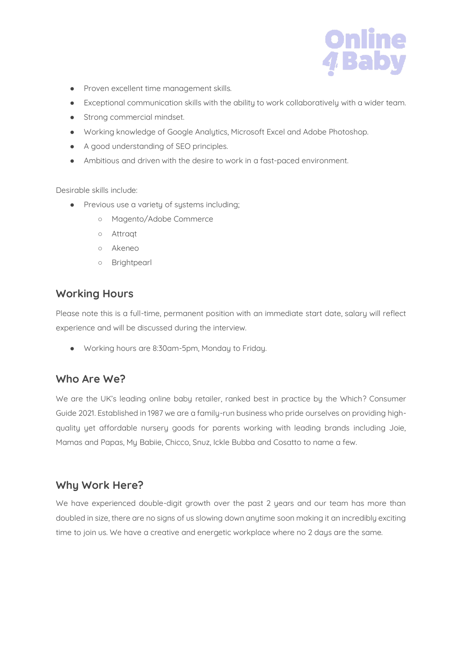

- Proven excellent time management skills.
- Exceptional communication skills with the ability to work collaboratively with a wider team.
- Strong commercial mindset.
- Working knowledge of Google Analytics, Microsoft Excel and Adobe Photoshop.
- A good understanding of SEO principles.
- Ambitious and driven with the desire to work in a fast-paced environment.

Desirable skills include:

- Previous use a variety of systems including;
	- Magento/Adobe Commerce
	- Attraqt
	- Akeneo
	- Brightpearl

## **Working Hours**

Please note this is a full-time, permanent position with an immediate start date, salary will reflect experience and will be discussed during the interview.

● Working hours are 8:30am-5pm, Monday to Friday.

# **Who Are We?**

We are the UK's leading online baby retailer, ranked best in practice by the Which? Consumer Guide 2021. Established in 1987 we are a family-run business who pride ourselves on providing highquality yet affordable nursery goods for parents working with leading brands including Joie, Mamas and Papas, My Babiie, Chicco, Snuz, Ickle Bubba and Cosatto to name a few.

# **Why Work Here?**

We have experienced double-digit growth over the past 2 years and our team has more than doubled in size, there are no signs of us slowing down anytime soon making it an incredibly exciting time to join us. We have a creative and energetic workplace where no 2 days are the same.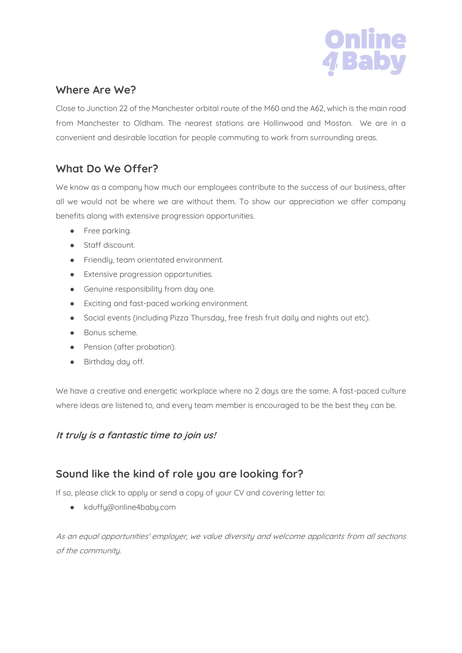

# **Where Are We?**

Close to Junction 22 of the Manchester orbital route of the M60 and the A62, which is the main road from Manchester to Oldham. The nearest stations are Hollinwood and Moston. We are in a convenient and desirable location for people commuting to work from surrounding areas.

# **What Do We Offer?**

We know as a company how much our employees contribute to the success of our business, after all we would not be where we are without them. To show our appreciation we offer company benefits along with extensive progression opportunities.

- Free parking.
- Staff discount.
- Friendly, team orientated environment.
- Extensive progression opportunities.
- **•** Genuine responsibility from day one.
- Exciting and fast-paced working environment.
- Social events (including Pizza Thursday, free fresh fruit daily and nights out etc).
- Bonus scheme.
- Pension (after probation).
- Birthday day off.

We have a creative and energetic workplace where no 2 days are the same. A fast-paced culture where ideas are listened to, and every team member is encouraged to be the best they can be.

## **It truly is a fantastic time to join us!**

# **Sound like the kind of role you are looking for?**

If so, please click to apply or send a copy of your CV and covering letter to:

● kduffy@online4baby.com

As an equal opportunities' employer, we value diversity and welcome applicants from all sections of the community.